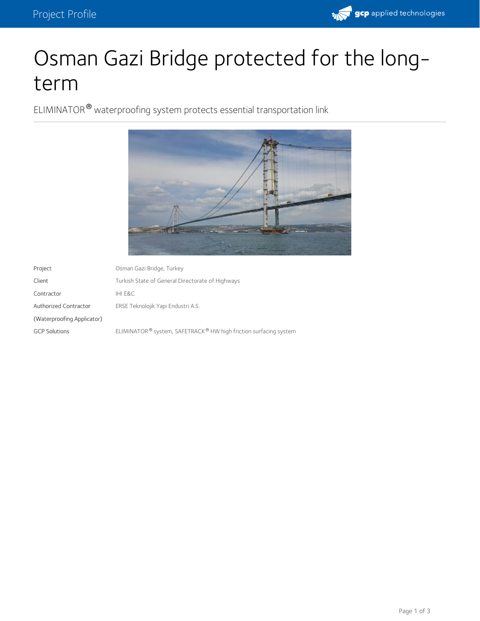

# Osman Gazi Bridge protected for the longterm

ELIMINATOR<sup>®</sup> waterproofing system protects essential transportation link



| Project                    | Osman Gazi Bridge, Turkey                                                                |
|----------------------------|------------------------------------------------------------------------------------------|
| Client                     | Turkish State of General Directorate of Highways                                         |
| Contractor                 | IHI E&C                                                                                  |
| Authorized Contractor      | ERSE Teknolojik Yapi Endustri A.S.                                                       |
| (Waterproofing Applicator) |                                                                                          |
| <b>GCP Solutions</b>       | ELIMINATOR <sup>®</sup> system, SAFETRACK <sup>®</sup> HW high friction surfacing system |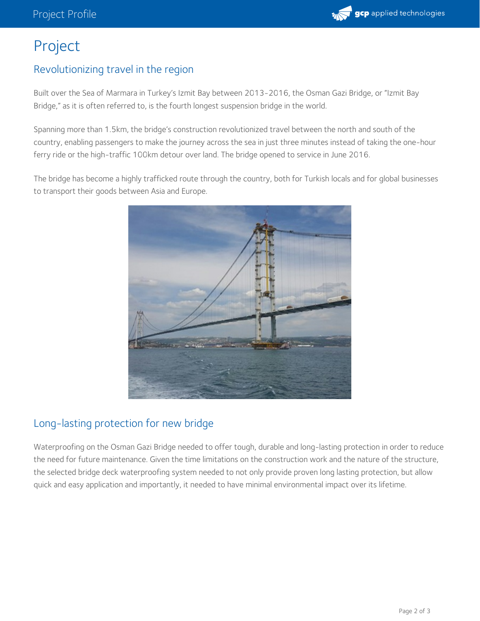

## Project

#### Revolutionizing travel in the region

Built over the Sea of Marmara in Turkey's Izmit Bay between 2013-2016, the Osman Gazi Bridge, or "Izmit Bay Bridge," as it is often referred to, is the fourth longest suspension bridge in the world.

Spanning more than 1.5km, the bridge's construction revolutionized travel between the north and south of the country, enabling passengers to make the journey across the sea in just three minutes instead of taking the one-hour ferry ride or the high-traffic 100km detour over land. The bridge opened to service in June 2016.

The bridge has become a highly trafficked route through the country, both for Turkish locals and for global businesses to transport their goods between Asia and Europe.



### Long-lasting protection for new bridge

Waterproofing on the Osman Gazi Bridge needed to offer tough, durable and long-lasting protection in order to reduce the need for future maintenance. Given the time limitations on the construction work and the nature of the structure, the selected bridge deck waterproofing system needed to not only provide proven long lasting protection, but allow quick and easy application and importantly, it needed to have minimal environmental impact over its lifetime.